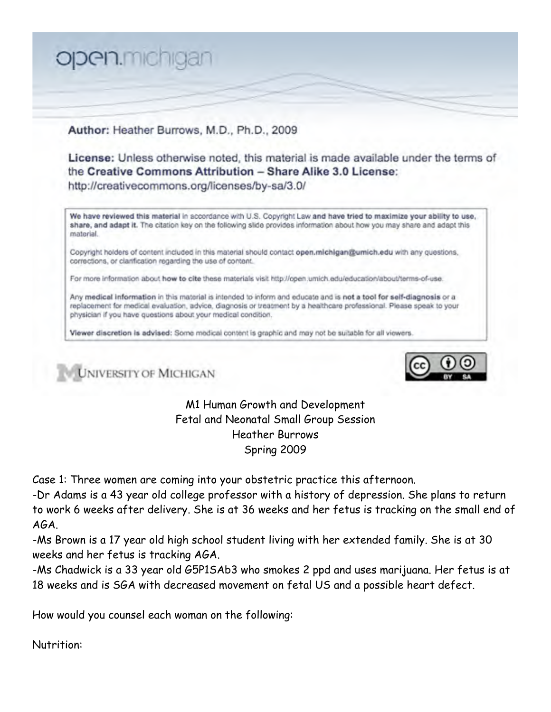

## Author: Heather Burrows, M.D., Ph.D., 2009

License: Unless otherwise noted, this material is made available under the terms of the Creative Commons Attribution - Share Alike 3.0 License: http://creativecommons.org/licenses/by-sa/3.0/

We have reviewed this material in accordance with U.S. Copyright Law and have tried to maximize your ability to use, share, and adapt it. The citation key on the following slide provides information about how you may share and adapt this material.

Copyright holders of content included in this material should contact open.michigan@umich.edu with any questions, corrections, or clarification regarding the use of content.

For more information about how to cite these materials visit http://open.umich.edu/education/about/terms-of-use.

Any medical information in this material is intended to inform and educate and is not a tool for self-diagnosis or a replacement for medical evaluation, advice, diagnosis or treatment by a healthcare professional. Please speak to your physician if you have questions about your medical condition.

Viewer discretion is advised: Some medical content is graphic and may not be suitable for all viewers.

UNIVERSITY OF MICHIGAN



M1 Human Growth and Development Fetal and Neonatal Small Group Session Heather Burrows Spring 2009

Case 1: Three women are coming into your obstetric practice this afternoon.

-Dr Adams is a 43 year old college professor with a history of depression. She plans to return to work 6 weeks after delivery. She is at 36 weeks and her fetus is tracking on the small end of AGA.

-Ms Brown is a 17 year old high school student living with her extended family. She is at 30 weeks and her fetus is tracking AGA.

-Ms Chadwick is a 33 year old G5P1SAb3 who smokes 2 ppd and uses marijuana. Her fetus is at 18 weeks and is SGA with decreased movement on fetal US and a possible heart defect.

How would you counsel each woman on the following:

Nutrition: